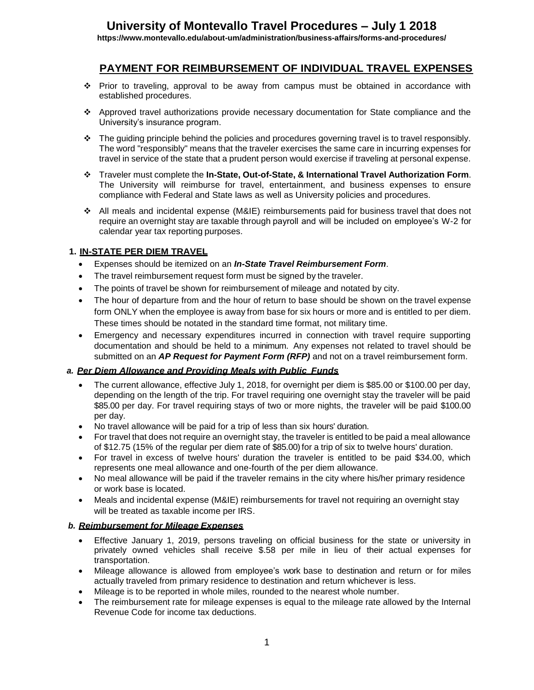**https://www.montevallo.edu/about-um/administration/business-affairs/forms-and-procedures/**

### **PAYMENT FOR REIMBURSEMENT OF INDIVIDUAL TRAVEL EXPENSES**

- Prior to traveling, approval to be away from campus must be obtained in accordance with established procedures.
- Approved travel authorizations provide necessary documentation for State compliance and the University's insurance program.
- \* The guiding principle behind the policies and procedures governing travel is to travel responsibly. The word "responsibly" means that the traveler exercises the same care in incurring expenses for travel in service of the state that a prudent person would exercise if traveling at personal expense.
- Traveler must complete the **In-State, Out-of-State, & International Travel Authorization Form**. The University will reimburse for travel, entertainment, and business expenses to ensure compliance with Federal and State laws as well as University policies and procedures.
- All meals and incidental expense (M&IE) reimbursements paid for business travel that does not require an overnight stay are taxable through payroll and will be included on employee's W-2 for calendar year tax reporting purposes.

### **1. IN-STATE PER DIEM TRAVEL**

- Expenses should be itemized on an *In-State Travel Reimbursement Form*.
- The travel reimbursement request form must be signed by the traveler.
- The points of travel be shown for reimbursement of mileage and notated by city.
- The hour of departure from and the hour of return to base should be shown on the travel expense form ONLY when the employee is away from base for six hours or more and is entitled to per diem. These times should be notated in the standard time format, not military time.
- Emergency and necessary expenditures incurred in connection with travel require supporting documentation and should be held to a minimum. Any expenses not related to travel should be submitted on an *AP Request for Payment Form (RFP)* and not on a travel reimbursement form.

#### *a. Per Diem Allowance and Providing Meals with Public Funds*

- The current allowance, effective July 1, 2018, for overnight per diem is \$85.00 or \$100.00 per day, depending on the length of the trip. For travel requiring one overnight stay the traveler will be paid \$85.00 per day. For travel requiring stays of two or more nights, the traveler will be paid \$100.00 per day.
- No travel allowance will be paid for a trip of less than six hours' duration.
- For travel that does not require an overnight stay, the traveler is entitled to be paid a meal allowance of \$12.75 (15% of the regular per diem rate of \$85.00) for a trip of six to twelve hours' duration.
- For travel in excess of twelve hours' duration the traveler is entitled to be paid \$34.00, which represents one meal allowance and one-fourth of the per diem allowance.
- No meal allowance will be paid if the traveler remains in the city where his/her primary residence or work base is located.
- Meals and incidental expense (M&IE) reimbursements for travel not requiring an overnight stay will be treated as taxable income per IRS.

#### *b. Reimbursement for Mileage Expenses*

- Effective January 1, 2019, persons traveling on official business for the state or university in privately owned vehicles shall receive \$.58 per mile in lieu of their actual expenses for transportation.
- Mileage allowance is allowed from employee's work base to destination and return or for miles actually traveled from primary residence to destination and return whichever is less.
- Mileage is to be reported in whole miles, rounded to the nearest whole number.
- The reimbursement rate for mileage expenses is equal to the mileage rate allowed by the Internal Revenue Code for income tax deductions.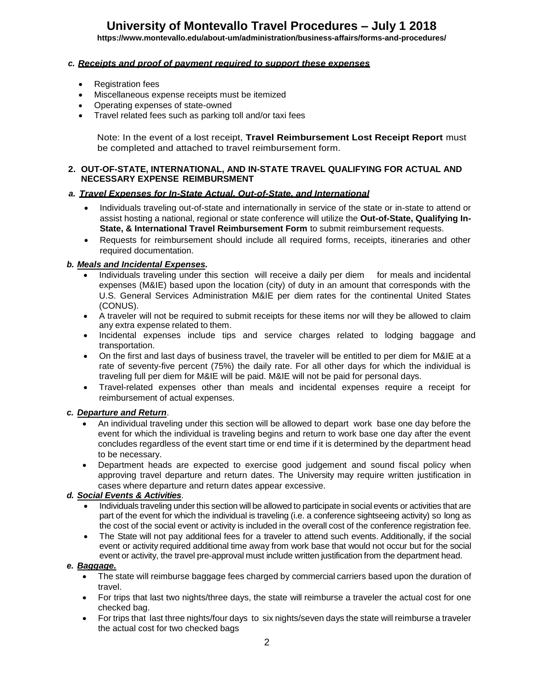**https://www.montevallo.edu/about-um/administration/business-affairs/forms-and-procedures/**

#### *c. Receipts and proof of payment required to support these expenses*

- Registration fees
- Miscellaneous expense receipts must be itemized
- Operating expenses of state-owned
- Travel related fees such as parking toll and/or taxi fees

Note: In the event of a lost receipt, **Travel Reimbursement Lost Receipt Report** must be completed and attached to travel reimbursement form.

#### **2. OUT-OF-STATE, INTERNATIONAL, AND IN-STATE TRAVEL QUALIFYING FOR ACTUAL AND NECESSARY EXPENSE REIMBURSMENT**

#### *a. Travel Expenses for In-State Actual, Out-of-State, and International*

- Individuals traveling out-of-state and internationally in service of the state or in-state to attend or assist hosting a national, regional or state conference will utilize the **Out-of-State, Qualifying In-State, & International Travel Reimbursement Form** to submit reimbursement requests.
- Requests for reimbursement should include all required forms, receipts, itineraries and other required documentation.

#### *b. Meals and Incidental Expenses.*

- Individuals traveling under this section will receive a daily per diem for meals and incidental expenses (M&IE) based upon the location (city) of duty in an amount that corresponds with the U.S. General Services Administration M&IE per diem rates for the continental United States (CONUS).
- A traveler will not be required to submit receipts for these items nor will they be allowed to claim any extra expense related to them.
- Incidental expenses include tips and service charges related to lodging baggage and transportation.
- On the first and last days of business travel, the traveler will be entitled to per diem for M&IE at a rate of seventy-five percent (75%) the daily rate. For all other days for which the individual is traveling full per diem for M&IE will be paid. M&IE will not be paid for personal days.
- Travel-related expenses other than meals and incidental expenses require a receipt for reimbursement of actual expenses.

#### *c. Departure and Return*.

- An individual traveling under this section will be allowed to depart work base one day before the event for which the individual is traveling begins and return to work base one day after the event concludes regardless of the event start time or end time if it is determined by the department head to be necessary.
- Department heads are expected to exercise good judgement and sound fiscal policy when approving travel departure and return dates. The University may require written justification in cases where departure and return dates appear excessive.

#### *d. Social Events & Activities*.

- Individuals traveling under this section will be allowed to participate in social events or activities that are part of the event for which the individual is traveling (i.e. a conference sightseeing activity) so long as the cost of the social event or activity is included in the overall cost of the conference registration fee.
- The State will not pay additional fees for a traveler to attend such events. Additionally, if the social event or activity required additional time away from work base that would not occur but for the social event or activity, the travel pre-approval must include written justification from the department head.

#### *e. Baggage.*

- The state will reimburse baggage fees charged by commercial carriers based upon the duration of travel.
- For trips that last two nights/three days, the state will reimburse a traveler the actual cost for one checked bag.
- For trips that last three nights/four days to six nights/seven days the state will reimburse a traveler the actual cost for two checked bags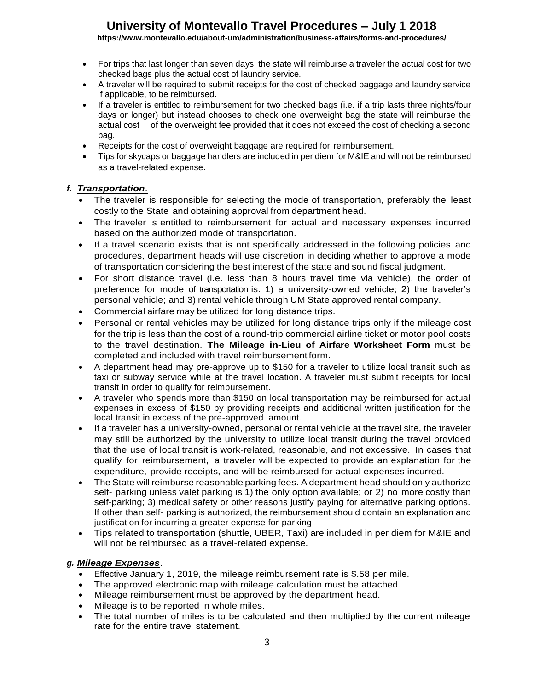**https://www.montevallo.edu/about-um/administration/business-affairs/forms-and-procedures/**

- For trips that last longer than seven days, the state will reimburse a traveler the actual cost for two checked bags plus the actual cost of laundry service.
- A traveler will be required to submit receipts for the cost of checked baggage and laundry service if applicable, to be reimbursed.
- If a traveler is entitled to reimbursement for two checked bags (i.e. if a trip lasts three nights/four days or longer) but instead chooses to check one overweight bag the state will reimburse the actual cost of the overweight fee provided that it does not exceed the cost of checking a second bag.
- Receipts for the cost of overweight baggage are required for reimbursement.
- Tips for skycaps or baggage handlers are included in per diem for M&IE and will not be reimbursed as a travel-related expense.

### *f. Transportation*.

- The traveler is responsible for selecting the mode of transportation, preferably the least costly to the State and obtaining approval from department head.
- The traveler is entitled to reimbursement for actual and necessary expenses incurred based on the authorized mode of transportation.
- If a travel scenario exists that is not specifically addressed in the following policies and procedures, department heads will use discretion in deciding whether to approve a mode of transportation considering the best interest of the state and sound fiscal judgment.
- For short distance travel (i.e. less than 8 hours travel time via vehicle), the order of preference for mode of transportation is: 1) a university-owned vehicle; 2) the traveler's personal vehicle; and 3) rental vehicle through UM State approved rental company.
- Commercial airfare may be utilized for long distance trips.
- Personal or rental vehicles may be utilized for long distance trips only if the mileage cost for the trip is less than the cost of a round-trip commercial airline ticket or motor pool costs to the travel destination. **The Mileage in-Lieu of Airfare Worksheet Form** must be completed and included with travel reimbursement form.
- A department head may pre-approve up to \$150 for a traveler to utilize local transit such as taxi or subway service while at the travel location. A traveler must submit receipts for local transit in order to qualify for reimbursement.
- A traveler who spends more than \$150 on local transportation may be reimbursed for actual expenses in excess of \$150 by providing receipts and additional written justification for the local transit in excess of the pre-approved amount.
- If a traveler has a university-owned, personal or rental vehicle at the travel site, the traveler may still be authorized by the university to utilize local transit during the travel provided that the use of local transit is work-related, reasonable, and not excessive. In cases that qualify for reimbursement, a traveler will be expected to provide an explanation for the expenditure, provide receipts, and will be reimbursed for actual expenses incurred.
- The State will reimburse reasonable parking fees. A department head should only authorize self- parking unless valet parking is 1) the only option available; or 2) no more costly than self-parking; 3) medical safety or other reasons justify paying for alternative parking options. If other than self- parking is authorized, the reimbursement should contain an explanation and justification for incurring a greater expense for parking.
- Tips related to transportation (shuttle, UBER, Taxi) are included in per diem for M&IE and will not be reimbursed as a travel-related expense.

#### *g. Mileage Expenses*.

- Effective January 1, 2019, the mileage reimbursement rate is \$.58 per mile.
- The approved electronic map with mileage calculation must be attached.
- Mileage reimbursement must be approved by the department head.
- Mileage is to be reported in whole miles.
- The total number of miles is to be calculated and then multiplied by the current mileage rate for the entire travel statement.